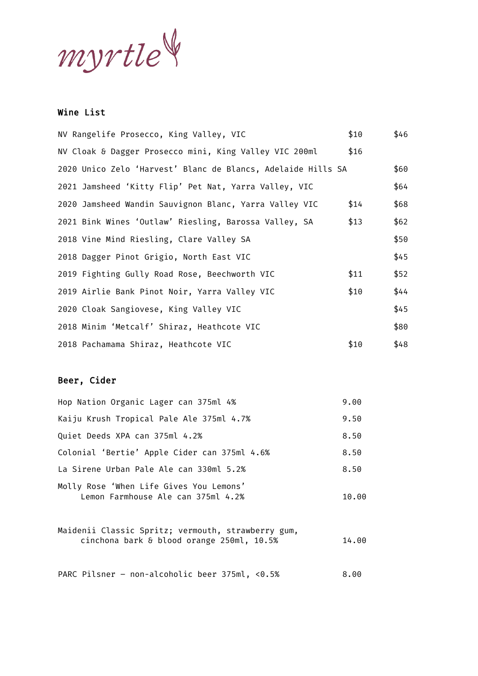myrtle

## Wine List

| NV Rangelife Prosecco, King Valley, VIC                      | \$10 | \$46 |
|--------------------------------------------------------------|------|------|
| NV Cloak & Dagger Prosecco mini, King Valley VIC 200ml       | \$16 |      |
| 2020 Unico Zelo 'Harvest' Blanc de Blancs, Adelaide Hills SA |      | \$60 |
| 2021 Jamsheed 'Kitty Flip' Pet Nat, Yarra Valley, VIC        |      | \$64 |
| 2020 Jamsheed Wandin Sauvignon Blanc, Yarra Valley VIC       | \$14 | \$68 |
| 2021 Bink Wines 'Outlaw' Riesling, Barossa Valley, SA        | \$13 | \$62 |
| 2018 Vine Mind Riesling, Clare Valley SA                     |      | \$50 |
| 2018 Dagger Pinot Grigio, North East VIC                     |      | \$45 |
| 2019 Fighting Gully Road Rose, Beechworth VIC                | \$11 | \$52 |
| 2019 Airlie Bank Pinot Noir, Yarra Valley VIC                | \$10 | \$44 |
| 2020 Cloak Sangiovese, King Valley VIC                       |      | \$45 |
| 2018 Minim 'Metcalf' Shiraz, Heathcote VIC                   |      | \$80 |
| 2018 Pachamama Shiraz, Heathcote VIC                         | \$10 | \$48 |

## Beer, Cider

| Hop Nation Organic Lager can 375ml 4%                                         | 9.00  |
|-------------------------------------------------------------------------------|-------|
| Kaiju Krush Tropical Pale Ale 375ml 4.7%                                      | 9.50  |
| Quiet Deeds XPA can 375ml 4.2%                                                | 8.50  |
| Colonial 'Bertie' Apple Cider can 375ml 4.6%                                  | 8.50  |
| La Sirene Urban Pale Ale can 330ml 5.2%                                       | 8.50  |
| Molly Rose 'When Life Gives You Lemons'<br>Lemon Farmhouse Ale can 375ml 4.2% | 10.00 |

Maidenii Classic Spritz; vermouth, strawberry gum,  $c$ inchona bark & blood orange 250ml,  $10.5\%$  14.00

PARC Pilsner - non-alcoholic beer 375ml, <0.5% 8.00